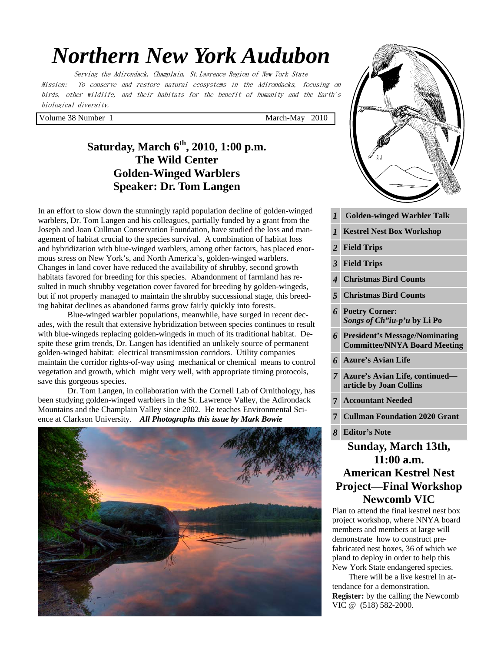# *Northern New York Audubon*

Serving the Adirondack, Champlain, St.Lawrence Region of New York State Mission: To conserve and restore natural ecosystems in the Adirondacks, focusing on birds, other wildlife, and their habitats for the benefit of humanity and the Earth's biological diversity.

Volume 38 Number 1 March-May 2010

# **Saturday, March 6th, 2010, 1:00 p.m. The Wild Center Golden-Winged Warblers Speaker: Dr. Tom Langen**

In an effort to slow down the stunningly rapid population decline of golden-winged warblers, Dr. Tom Langen and his colleagues, partially funded by a grant from the Joseph and Joan Cullman Conservation Foundation, have studied the loss and management of habitat crucial to the species survival. A combination of habitat loss and hybridization with blue-winged warblers, among other factors, has placed enormous stress on New York's, and North America's, golden-winged warblers. Changes in land cover have reduced the availability of shrubby, second growth habitats favored for breeding for this species. Abandonment of farmland has resulted in much shrubby vegetation cover favored for breeding by golden-wingeds, but if not properly managed to maintain the shrubby successional stage, this breeding habitat declines as abandoned farms grow fairly quickly into forests.

 Blue-winged warbler populations, meanwhile, have surged in recent decades, with the result that extensive hybridization between species continues to result with blue-wingeds replacing golden-wingeds in much of its traditional habitat. Despite these grim trends, Dr. Langen has identified an unlikely source of permanent golden-winged habitat: electrical transmimssion corridors. Utility companies maintain the corridor rights-of-way using mechanical or chemical means to control vegetation and growth, which might very well, with appropriate timing protocols, save this gorgeous species.

 Dr. Tom Langen, in collaboration with the Cornell Lab of Ornithology, has been studying golden-winged warblers in the St. Lawrence Valley, the Adirondack Mountains and the Champlain Valley since 2002. He teaches Environmental Science at Clarkson University. *All Photographs this issue by Mark Bowie*





# **Newcomb VIC**

Plan to attend the final kestrel nest box project workshop, where NNYA board members and members at large will demonstrate how to construct prefabricated nest boxes, 36 of which we pland to deploy in order to help this New York State endangered species.

 There will be a live kestrel in attendance for a demonstration. **Register:** by the calling the Newcomb VIC @ (518) 582-2000.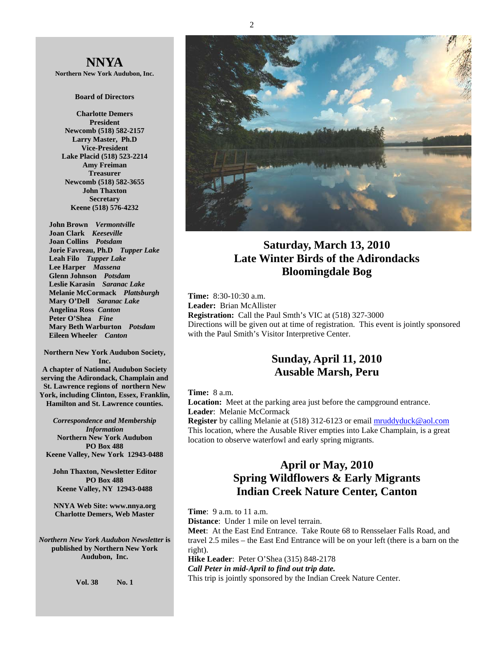**NNYA Northern New York Audubon, Inc.** 

#### **Board of Directors**

**Charlotte Demers President Newcomb (518) 582-2157 Larry Master, Ph.D Vice-President Lake Placid (518) 523-2214 Amy Freiman Treasurer Newcomb (518) 582-3655 John Thaxton Secretary Keene (518) 576-4232** 

 **John Brown** *Vermontville*  **Joan Clark** *Keeseville*  **Joan Collins** *Potsdam*   **Jorie Favreau, Ph.D** *Tupper Lake*  **Leah Filo** *Tupper Lake*  **Lee Harper** *Massena*   **Glenn Johnson** *Potsdam*   **Leslie Karasin** *Saranac Lake*  **Melanie McCormack** *Plattsburgh*   **Mary O'Dell** *Saranac Lake*   **Angelina Ross** *Canton*  **Peter O'Shea** *Fine*   **Mary Beth Warburton** *Potsdam*   **Eileen Wheeler** *Canton* 

**Northern New York Audubon Society, Inc. A chapter of National Audubon Society serving the Adirondack, Champlain and St. Lawrence regions of northern New York, including Clinton, Essex, Franklin, Hamilton and St. Lawrence counties.** 

*Correspondence and Membership Information* **Northern New York Audubon PO Box 488 Keene Valley, New York 12943-0488** 

**John Thaxton, Newsletter Editor PO Box 488 Keene Valley, NY 12943-0488** 

**NNYA Web Site: www.nnya.org Charlotte Demers, Web Master** 

*Northern New York Audubon Newsletter* **is published by Northern New York Audubon, Inc.** 

**Vol. 38 No. 1** 



## **Saturday, March 13, 2010 Late Winter Birds of the Adirondacks Bloomingdale Bog**

**Time:** 8:30-10:30 a.m. **Leader:** Brian McAllister **Registration:** Call the Paul Smth's VIC at (518) 327-3000 Directions will be given out at time of registration. This event is jointly sponsored with the Paul Smith's Visitor Interpretive Center.

## **Sunday, April 11, 2010 Ausable Marsh, Peru**

#### **Time:** 8 a.m.

**Location:** Meet at the parking area just before the campground entrance. **Leader**: Melanie McCormack

**Register** by calling Melanie at (518) 312-6123 or email mruddyduck@aol.com This location, where the Ausable River empties into Lake Champlain, is a great location to observe waterfowl and early spring migrants.

## **April or May, 2010 Spring Wildflowers & Early Migrants Indian Creek Nature Center, Canton**

**Time**: 9 a.m. to 11 a.m.

**Distance**: Under 1 mile on level terrain.

**Meet**: At the East End Entrance. Take Route 68 to Rensselaer Falls Road, and travel 2.5 miles – the East End Entrance will be on your left (there is a barn on the right).

**Hike Leader**: Peter O'Shea (315) 848-2178 *Call Peter in mid-April to find out trip date.* 

This trip is jointly sponsored by the Indian Creek Nature Center.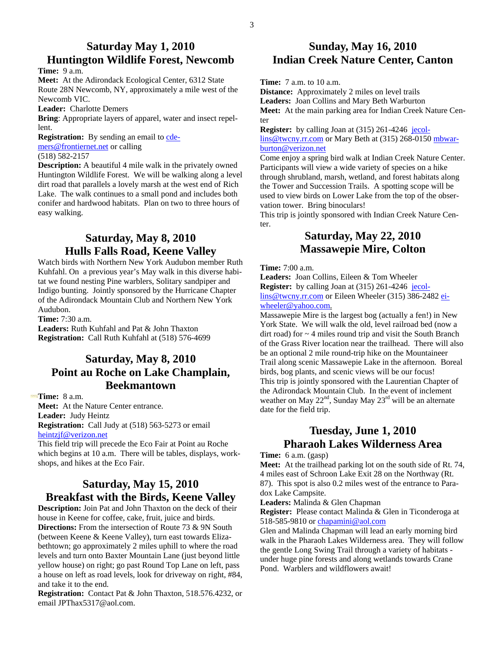## **Saturday May 1, 2010 Huntington Wildlife Forest, Newcomb**

**Time:** 9 a.m.

**Meet:** At the Adirondack Ecological Center, 6312 State Route 28N Newcomb, NY, approximately a mile west of the Newcomb VIC.

**Leader:** Charlotte Demers

**Bring**: Appropriate layers of apparel, water and insect repellent.

**Registration:** By sending an email to cdemers@frontiernet.net or calling

#### (518) 582-2157

**Description:** A beautiful 4 mile walk in the privately owned Huntington Wildlife Forest. We will be walking along a level dirt road that parallels a lovely marsh at the west end of Rich Lake. The walk continues to a small pond and includes both conifer and hardwood habitats. Plan on two to three hours of easy walking.

# **Saturday, May 8, 2010 Hulls Falls Road, Keene Valley**

Watch birds with Northern New York Audubon member Ruth Kuhfahl. On a previous year's May walk in this diverse habitat we found nesting Pine warblers, Solitary sandpiper and Indigo bunting. Jointly sponsored by the Hurricane Chapter of the Adirondack Mountain Club and Northern New York Audubon.

**Time:** 7:30 a.m.

**Leaders:** Ruth Kuhfahl and Pat & John Thaxton **Registration:** Call Ruth Kuhfahl at (518) 576-4699

# **Saturday, May 8, 2010 Point au Roche on Lake Champlain, Beekmantown**

**Time:** 8 a.m.

**Meet:** At the Nature Center entrance. **Leader:** Judy Heintz **Registration:** Call Judy at (518) 563-5273 or email

heintzjf@verizon.net

This field trip will precede the Eco Fair at Point au Roche which begins at 10 a.m. There will be tables, displays, workshops, and hikes at the Eco Fair.

# **Saturday, May 15, 2010 Breakfast with the Birds, Keene Valley**

**Description:** Join Pat and John Thaxton on the deck of their house in Keene for coffee, cake, fruit, juice and birds. **Directions:** From the intersection of Route 73 & 9N South (between Keene & Keene Valley), turn east towards Elizabethtown; go approximately 2 miles uphill to where the road levels and turn onto Baxter Mountain Lane (just beyond little yellow house) on right; go past Round Top Lane on left, pass a house on left as road levels, look for driveway on right, #84, and take it to the end.

**Registration:** Contact Pat & John Thaxton, 518.576.4232, or email JPThax5317@aol.com.

## **Sunday, May 16, 2010 Indian Creek Nature Center, Canton**

**Time:** 7 a.m. to 10 a.m.

**Distance:** Approximately 2 miles on level trails **Leaders:** Joan Collins and Mary Beth Warburton **Meet:** At the main parking area for Indian Creek Nature Center

**Register:** by calling Joan at (315) 261-4246 jecollins@twcny.rr.com or Mary Beth at (315) 268-0150 mbwarburton@verizon.net

Come enjoy a spring bird walk at Indian Creek Nature Center. Participants will view a wide variety of species on a hike through shrubland, marsh, wetland, and forest habitats along the Tower and Succession Trails. A spotting scope will be used to view birds on Lower Lake from the top of the observation tower. Bring binoculars!

This trip is jointly sponsored with Indian Creek Nature Center.

## **Saturday, May 22, 2010 Massawepie Mire, Colton**

#### **Time:** 7:00 a.m.

**Leaders:** Joan Collins, Eileen & Tom Wheeler **Register:** by calling Joan at (315) 261-4246 jecollins@twcny.rr.com or Eileen Wheeler (315) 386-2482 eiwheeler@yahoo.com.

Massawepie Mire is the largest bog (actually a fen!) in New York State. We will walk the old, level railroad bed (now a dirt road) for  $\sim$  4 miles round trip and visit the South Branch of the Grass River location near the trailhead. There will also be an optional 2 mile round-trip hike on the Mountaineer Trail along scenic Massawepie Lake in the afternoon. Boreal birds, bog plants, and scenic views will be our focus! This trip is jointly sponsored with the Laurentian Chapter of the Adirondack Mountain Club. In the event of inclement weather on May  $22<sup>nd</sup>$ , Sunday May  $23<sup>rd</sup>$  will be an alternate date for the field trip.

## **Tuesday, June 1, 2010 Pharaoh Lakes Wilderness Area**

#### **Time:** 6 a.m. (gasp)

**Meet:** At the trailhead parking lot on the south side of Rt. 74, 4 miles east of Schroon Lake Exit 28 on the Northway (Rt. 87). This spot is also 0.2 miles west of the entrance to Paradox Lake Campsite.

**Leaders:** Malinda & Glen Chapman

**Register:** Please contact Malinda & Glen in Ticonderoga at 518-585-9810 or chapamini@aol.com

Glen and Malinda Chapman will lead an early morning bird walk in the Pharaoh Lakes Wilderness area. They will follow the gentle Long Swing Trail through a variety of habitats under huge pine forests and along wetlands towards Crane Pond. Warblers and wildflowers await!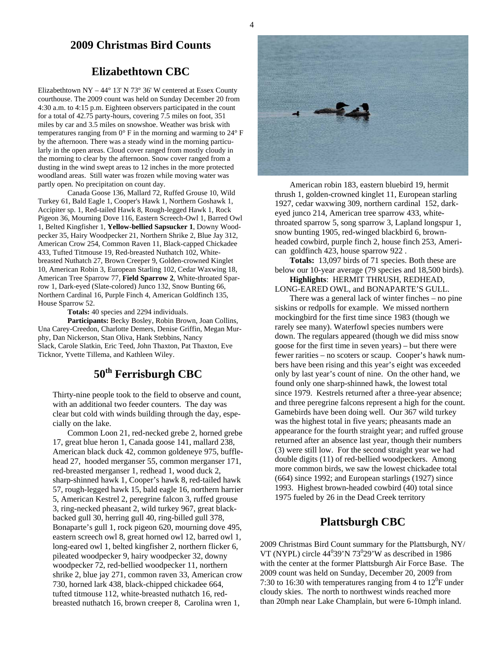## **2009 Christmas Bird Counts**

## **Elizabethtown CBC**

Elizabethtown NY – 44° 13' N 73° 36' W centered at Essex County courthouse. The 2009 count was held on Sunday December 20 from 4:30 a.m. to 4:15 p.m. Eighteen observers participated in the count for a total of 42.75 party-hours, covering 7.5 miles on foot, 351 miles by car and 3.5 miles on snowshoe. Weather was brisk with temperatures ranging from 0° F in the morning and warming to 24° F by the afternoon. There was a steady wind in the morning particularly in the open areas. Cloud cover ranged from mostly cloudy in the morning to clear by the afternoon. Snow cover ranged from a dusting in the wind swept areas to 12 inches in the more protected woodland areas. Still water was frozen while moving water was partly open. No precipitation on count day.

Canada Goose 136, Mallard 72, Ruffed Grouse 10, Wild Turkey 61, Bald Eagle 1, Cooper's Hawk 1, Northern Goshawk 1, Accipiter sp. 1, Red-tailed Hawk 8, Rough-legged Hawk 1, Rock Pigeon 36, Mourning Dove 116, Eastern Screech-Owl 1, Barred Owl 1, Belted Kingfisher 1, **Yellow-bellied Sapsucker 1**, Downy Woodpecker 35, Hairy Woodpecker 21, Northern Shrike 2, Blue Jay 312, American Crow 254, Common Raven 11, Black-capped Chickadee 433, Tufted Titmouse 19, Red-breasted Nuthatch 102, Whitebreasted Nuthatch 27, Brown Creeper 9, Golden-crowned Kinglet 10, American Robin 3, European Starling 102, Cedar Waxwing 18, American Tree Sparrow 77, **Field Sparrow 2**, White-throated Sparrow 1, Dark-eyed (Slate-colored) Junco 132, Snow Bunting 66, Northern Cardinal 16, Purple Finch 4, American Goldfinch 135, House Sparrow 52.

**Totals:** 40 species and 2294 individuals.

**Participants:** Becky Bosley, Robin Brown, Joan Collins, Una Carey-Creedon, Charlotte Demers, Denise Griffin, Megan Murphy, Dan Nickerson, Stan Oliva, Hank Stebbins, Nancy Slack, Carole Slatkin, Eric Teed, John Thaxton, Pat Thaxton, Eve Ticknor, Yvette Tillema, and Kathleen Wiley.

# **50th Ferrisburgh CBC**

Thirty-nine people took to the field to observe and count, with an additional two feeder counters. The day was clear but cold with winds building through the day, especially on the lake.

Common Loon 21, red-necked grebe 2, horned grebe 17, great blue heron 1, Canada goose 141, mallard 238, American black duck 42, common goldeneye 975, bufflehead 27, hooded merganser 55, common merganser 171, red-breasted merganser 1, redhead 1, wood duck 2, sharp-shinned hawk 1, Cooper's hawk 8, red-tailed hawk 57, rough-legged hawk 15, bald eagle 16, northern harrier 5, American Kestrel 2, peregrine falcon 3, ruffed grouse 3, ring-necked pheasant 2, wild turkey 967, great blackbacked gull 30, herring gull 40, ring-billed gull 378, Bonaparte's gull 1, rock pigeon 620, mourning dove 495, eastern screech owl 8, great horned owl 12, barred owl 1, long-eared owl 1, belted kingfisher 2, northern flicker 6, pileated woodpecker 9, hairy woodpecker 32, downy woodpecker 72, red-bellied woodpecker 11, northern shrike 2, blue jay 271, common raven 33, American crow 730, horned lark 438, black-chipped chickadee 664, tufted titmouse 112, white-breasted nuthatch 16, redbreasted nuthatch 16, brown creeper 8, Carolina wren 1,



American robin 183, eastern bluebird 19, hermit thrush 1, golden-crowned kinglet 11, European starling 1927, cedar waxwing 309, northern cardinal 152, darkeyed junco 214, American tree sparrow 433, whitethroated sparrow 5, song sparrow 3, Lapland longspur 1, snow bunting 1905, red-winged blackbird 6, brownheaded cowbird, purple finch 2, house finch 253, American goldfinch 423, house sparrow 922 .

**Totals:** 13,097 birds of 71 species. Both these are below our 10-year average (79 species and 18,500 birds).

**Highlights**: HERMIT THRUSH, REDHEAD, LONG-EARED OWL, and BONAPARTE'S GULL.

There was a general lack of winter finches – no pine siskins or redpolls for example. We missed northern mockingbird for the first time since 1983 (though we rarely see many). Waterfowl species numbers were down. The regulars appeared (though we did miss snow goose for the first time in seven years) – but there were fewer rarities – no scoters or scaup. Cooper's hawk numbers have been rising and this year's eight was exceeded only by last year's count of nine. On the other hand, we found only one sharp-shinned hawk, the lowest total since 1979. Kestrels returned after a three-year absence; and three peregrine falcons represent a high for the count. Gamebirds have been doing well. Our 367 wild turkey was the highest total in five years; pheasants made an appearance for the fourth straight year; and ruffed grouse returned after an absence last year, though their numbers (3) were still low. For the second straight year we had double digits (11) of red-bellied woodpeckers. Among more common birds, we saw the lowest chickadee total (664) since 1992; and European starlings (1927) since 1993. Highest brown-headed cowbird (40) total since 1975 fueled by 26 in the Dead Creek territory

## **Plattsburgh CBC**

2009 Christmas Bird Count summary for the Plattsburgh, NY/ VT (NYPL) circle  $44^039'N73^029'W$  as described in 1986 with the center at the former Plattsburgh Air Force Base. The 2009 count was held on Sunday, December 20, 2009 from 7:30 to 16:30 with temperatures ranging from 4 to  $12^0$ F under cloudy skies. The north to northwest winds reached more than 20mph near Lake Champlain, but were 6-10mph inland.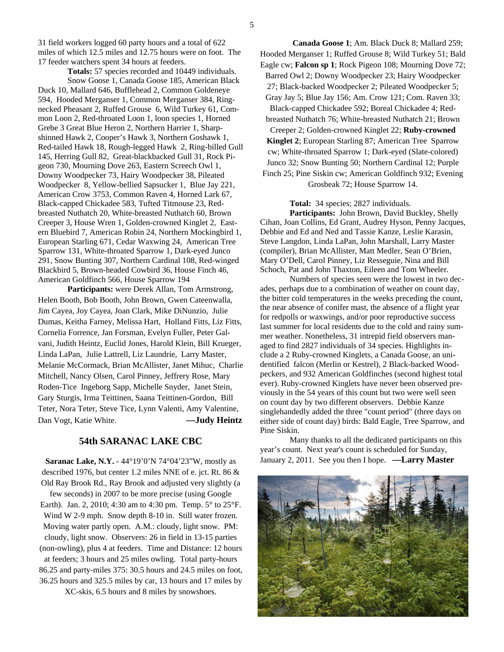31 field workers logged 60 party hours and a total of 622 miles of which 12.5 miles and 12.75 hours were on foot. The 17 feeder watchers spent 34 hours at feeders.

**Totals:** 57 species recorded and 10449 individuals. Snow Goose 1, Canada Goose 185, American Black Duck 10, Mallard 646, Bufflehead 2, Common Goldeneye 594, Hooded Merganser 1, Common Merganser 384, Ringnecked Pheasant 2, Ruffed Grouse 6, Wild Turkey 61, Common Loon 2, Red-throated Loon 1, loon species 1, Horned Grebe 3 Great Blue Heron 2, Northern Harrier 1, Sharpshinned Hawk 2, Cooper's Hawk 3, Northern Goshawk 1, Red-tailed Hawk 18, Rough-legged Hawk 2, Ring-billed Gull 145, Herring Gull 82, Great-blackbacked Gull 31, Rock Pigeon 730, Mourning Dove 263, Eastern Screech Owl 1, Downy Woodpecker 73, Hairy Woodpecker 38, Pileated Woodpecker 8, Yellow-bellied Sapsucker 1, Blue Jay 221, American Crow 3753, Common Raven 4, Horned Lark 67, Black-capped Chickadee 583, Tufted Titmouse 23, Redbreasted Nuthatch 20, White-breasted Nuthatch 60, Brown Creeper 3, House Wren 1, Golden-crowned Kinglet 2, Eastern Bluebird 7, American Robin 24, Northern Mockingbird 1, European Starling 671, Cedar Waxwing 24, American Tree Sparrow 131, White-throated Sparrow 1, Dark-eyed Junco 291, Snow Bunting 307, Northern Cardinal 108, Red-winged Blackbird 5, Brown-headed Cowbird 36, House Finch 46, American Goldfinch 566, House Sparrow 194

 **Participants:** were Derek Allan, Tom Armstrong, Helen Booth, Bob Booth, John Brown, Gwen Cateenwalla, Jim Cayea, Joy Cayea, Joan Clark, Mike DiNunzio, Julie Dumas, Keitha Farney, Melissa Hart, Holland Fitts, Liz Fitts, Cornelia Forrence, Jan Forsman, Evelyn Fuller, Peter Galvani, Judith Heintz, Euclid Jones, Harold Klein, Bill Krueger, Linda LaPan, Julie Lattrell, Liz Laundrie, Larry Master, Melanie McCormack, Brian McAllister, Janet Mihuc, Charlie Mitchell, Nancy Olsen, Carol Pinney, Jeffrery Rose, Mary Roden-Tice Ingeborg Sapp, Michelle Snyder, Janet Stein, Gary Sturgis, Irma Teittinen, Saana Teittinen-Gordon, Bill Teter, Nora Teter, Steve Tice, Lynn Valenti, Amy Valentine, Dan Vogt, Katie White. **—Judy Heintz**

#### **54th SARANAC LAKE CBC**

**Saranac Lake, N.Y.** - 44°19'0'N 74°04'23"W, mostly as described 1976, but center 1.2 miles NNE of e. jct. Rt. 86 & Old Ray Brook Rd., Ray Brook and adjusted very slightly (a few seconds) in 2007 to be more precise (using Google Earth). Jan. 2, 2010; 4:30 am to 4:30 pm. Temp. 5° to 25°F. Wind W 2-9 mph. Snow depth 8-10 in. Still water frozen. Moving water partly open. A.M.: cloudy, light snow. PM: cloudy, light snow. Observers: 26 in field in 13-15 parties (non-owling), plus 4 at feeders. Time and Distance: 12 hours at feeders; 3 hours and 25 miles owling. Total party-hours 86.25 and party-miles 375: 30.5 hours and 24.5 miles on foot, 36.25 hours and 325.5 miles by car, 13 hours and 17 miles by XC-skis, 6.5 hours and 8 miles by snowshoes.

 **Canada Goose 1**; Am. Black Duck 8; Mallard 259; Hooded Merganser 1; Ruffed Grouse 8; Wild Turkey 51; Bald Eagle cw; **Falcon sp 1**; Rock Pigeon 108; Mourning Dove 72; Barred Owl 2; Downy Woodpecker 23; Hairy Woodpecker 27; Black-backed Woodpecker 2; Pileated Woodpecker 5; Gray Jay 5; Blue Jay 156; Am. Crow 121; Com. Raven 33; Black-capped Chickadee 592; Boreal Chickadee 4; Redbreasted Nuthatch 76; White-breasted Nuthatch 21; Brown Creeper 2; Golden-crowned Kinglet 22; **Ruby-crowned Kinglet 2**; European Starling 87; American Tree Sparrow cw; White-throated Sparrow 1; Dark-eyed (Slate-colored) Junco 32; Snow Bunting 50; Northern Cardinal 12; Purple Finch 25; Pine Siskin cw; American Goldfinch 932; Evening Grosbeak 72; House Sparrow 14.

**Total:** 34 species; 2827 individuals.

 **Participants:** John Brown, David Buckley, Shelly Cihan, Joan Collins, Ed Grant, Audrey Hyson, Penny Jacques, Debbie and Ed and Ned and Tassie Kanze, Leslie Karasin, Steve Langdon, Linda LaPan, John Marshall, Larry Master (compiler), Brian McAllister, Matt Medler, Sean O'Brien, Mary O'Dell, Carol Pinney, Liz Resseguie, Nina and Bill Schoch, Pat and John Thaxton, Eileen and Tom Wheeler.

Numbers of species seen were the lowest in two decades, perhaps due to a combination of weather on count day, the bitter cold temperatures in the weeks preceding the count, the near absence of conifer mast, the absence of a flight year for redpolls or waxwings, and/or poor reproductive success last summer for local residents due to the cold and rainy summer weather. Nonetheless, 31 intrepid field observers managed to find 2827 individuals of 34 species. Highlights include a 2 Ruby-crowned Kinglets, a Canada Goose, an unidentified falcon (Merlin or Kestrel), 2 Black-backed Woodpeckers, and 932 American Goldfinches (second highest total ever). Ruby-crowned Kinglets have never been observed previously in the 54 years of this count but two were well seen on count day by two different observers. Debbie Kanze singlehandedly added the three "count period" (three days on either side of count day) birds: Bald Eagle, Tree Sparrow, and Pine Siskin.

Many thanks to all the dedicated participants on this year's count. Next year's count is scheduled for Sunday, January 2, 2011. See you then I hope. **—Larry Master** 

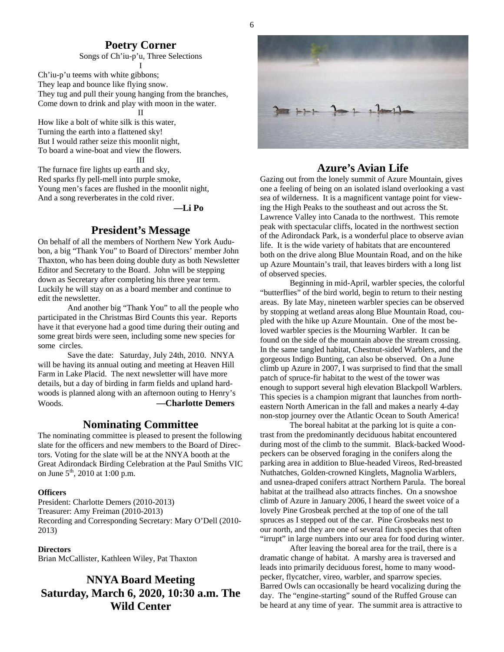## **Poetry Corner**

Songs of Ch'iu-p'u, Three Selections I

Ch'iu-p'u teems with white gibbons; They leap and bounce like flying snow. They tug and pull their young hanging from the branches, Come down to drink and play with moon in the water. II

How like a bolt of white silk is this water, Turning the earth into a flattened sky! But I would rather seize this moonlit night, To board a wine-boat and view the flowers.

III

The furnace fire lights up earth and sky, Red sparks fly pell-mell into purple smoke, Young men's faces are flushed in the moonlit night, And a song reverberates in the cold river.

**—Li Po** 

## **President's Message**

On behalf of all the members of Northern New York Audubon, a big "Thank You" to Board of Directors' member John Thaxton, who has been doing double duty as both Newsletter Editor and Secretary to the Board. John will be stepping down as Secretary after completing his three year term. Luckily he will stay on as a board member and continue to edit the newsletter.

 And another big "Thank You" to all the people who participated in the Christmas Bird Counts this year. Reports have it that everyone had a good time during their outing and some great birds were seen, including some new species for some circles.

 Save the date: Saturday, July 24th, 2010. NNYA will be having its annual outing and meeting at Heaven Hill Farm in Lake Placid. The next newsletter will have more details, but a day of birding in farm fields and upland hardwoods is planned along with an afternoon outing to Henry's Woods. **—Charlotte Demers**

#### **Nominating Committee**

The nominating committee is pleased to present the following slate for the officers and new members to the Board of Directors. Voting for the slate will be at the NNYA booth at the Great Adirondack Birding Celebration at the Paul Smiths VIC on June  $5^{th}$ , 2010 at 1:00 p.m.

#### **Officers**

President: Charlotte Demers (2010-2013) Treasurer: Amy Freiman (2010-2013) Recording and Corresponding Secretary: Mary O'Dell (2010- 2013)

#### **Directors**

Brian McCallister, Kathleen Wiley, Pat Thaxton

## **NNYA Board Meeting Saturday, March 6, 2020, 10:30 a.m. The Wild Center**



## **Azure's Avian Life**

Gazing out from the lonely summit of Azure Mountain, gives one a feeling of being on an isolated island overlooking a vast sea of wilderness. It is a magnificent vantage point for viewing the High Peaks to the southeast and out across the St. Lawrence Valley into Canada to the northwest. This remote peak with spectacular cliffs, located in the northwest section of the Adirondack Park, is a wonderful place to observe avian life. It is the wide variety of habitats that are encountered both on the drive along Blue Mountain Road, and on the hike up Azure Mountain's trail, that leaves birders with a long list of observed species.

 Beginning in mid-April, warbler species, the colorful "butterflies" of the bird world, begin to return to their nesting areas. By late May, nineteen warbler species can be observed by stopping at wetland areas along Blue Mountain Road, coupled with the hike up Azure Mountain. One of the most beloved warbler species is the Mourning Warbler. It can be found on the side of the mountain above the stream crossing. In the same tangled habitat, Chestnut-sided Warblers, and the gorgeous Indigo Bunting, can also be observed. On a June climb up Azure in 2007, I was surprised to find that the small patch of spruce-fir habitat to the west of the tower was enough to support several high elevation Blackpoll Warblers. This species is a champion migrant that launches from northeastern North American in the fall and makes a nearly 4-day non-stop journey over the Atlantic Ocean to South America!

 The boreal habitat at the parking lot is quite a contrast from the predominantly deciduous habitat encountered during most of the climb to the summit. Black-backed Woodpeckers can be observed foraging in the conifers along the parking area in addition to Blue-headed Vireos, Red-breasted Nuthatches, Golden-crowned Kinglets, Magnolia Warblers, and usnea-draped conifers attract Northern Parula. The boreal habitat at the trailhead also attracts finches. On a snowshoe climb of Azure in January 2006, I heard the sweet voice of a lovely Pine Grosbeak perched at the top of one of the tall spruces as I stepped out of the car. Pine Grosbeaks nest to our north, and they are one of several finch species that often "irrupt" in large numbers into our area for food during winter.

 After leaving the boreal area for the trail, there is a dramatic change of habitat. A marshy area is traversed and leads into primarily deciduous forest, home to many woodpecker, flycatcher, vireo, warbler, and sparrow species. Barred Owls can occasionally be heard vocalizing during the day. The "engine-starting" sound of the Ruffed Grouse can be heard at any time of year. The summit area is attractive to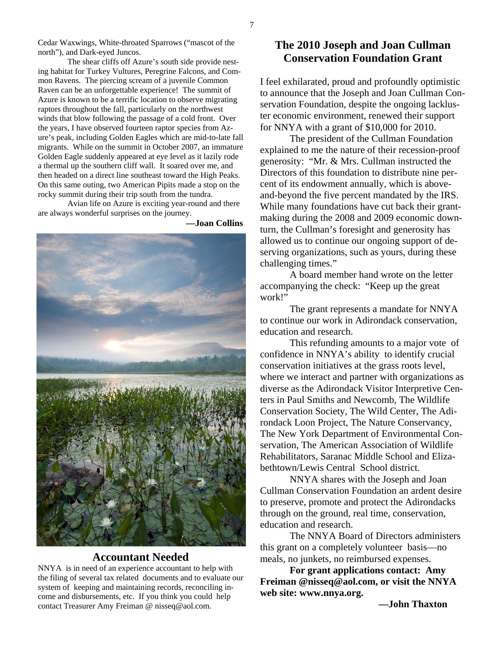Cedar Waxwings, White-throated Sparrows ("mascot of the north"), and Dark-eyed Juncos.

 The shear cliffs off Azure's south side provide nesting habitat for Turkey Vultures, Peregrine Falcons, and Common Ravens. The piercing scream of a juvenile Common Raven can be an unforgettable experience! The summit of Azure is known to be a terrific location to observe migrating raptors throughout the fall, particularly on the northwest winds that blow following the passage of a cold front. Over the years, I have observed fourteen raptor species from Azure's peak, including Golden Eagles which are mid-to-late fall migrants. While on the summit in October 2007, an immature Golden Eagle suddenly appeared at eye level as it lazily rode a thermal up the southern cliff wall. It soared over me, and then headed on a direct line southeast toward the High Peaks. On this same outing, two American Pipits made a stop on the rocky summit during their trip south from the tundra.

 Avian life on Azure is exciting year-round and there are always wonderful surprises on the journey.

 **—Joan Collins** 



#### **Accountant Needed**

NNYA is in need of an experience accountant to help with the filing of several tax related documents and to evaluate our system of keeping and maintaining records, reconciling income and disbursements, etc. If you think you could help contact Treasurer Amy Freiman @ nisseq@aol.com.

## **The 2010 Joseph and Joan Cullman Conservation Foundation Grant**

I feel exhilarated, proud and profoundly optimistic to announce that the Joseph and Joan Cullman Conservation Foundation, despite the ongoing lackluster economic environment, renewed their support for NNYA with a grant of \$10,000 for 2010.

 The president of the Cullman Foundation explained to me the nature of their recession-proof generosity: "Mr. & Mrs. Cullman instructed the Directors of this foundation to distribute nine percent of its endowment annually, which is aboveand-beyond the five percent mandated by the IRS. While many foundations have cut back their grantmaking during the 2008 and 2009 economic downturn, the Cullman's foresight and generosity has allowed us to continue our ongoing support of deserving organizations, such as yours, during these challenging times."

 A board member hand wrote on the letter accompanying the check: "Keep up the great work!"

 The grant represents a mandate for NNYA to continue our work in Adirondack conservation, education and research.

 This refunding amounts to a major vote of confidence in NNYA's ability to identify crucial conservation initiatives at the grass roots level, where we interact and partner with organizations as diverse as the Adirondack Visitor Interpretive Centers in Paul Smiths and Newcomb, The Wildlife Conservation Society, The Wild Center, The Adirondack Loon Project, The Nature Conservancy, The New York Department of Environmental Conservation, The American Association of Wildlife Rehabilitators, Saranac Middle School and Elizabethtown/Lewis Central School district.

 NNYA shares with the Joseph and Joan Cullman Conservation Foundation an ardent desire to preserve, promote and protect the Adirondacks through on the ground, real time, conservation, education and research.

 The NNYA Board of Directors administers this grant on a completely volunteer basis—no meals, no junkets, no reimbursed expenses.

**For grant applications contact: Amy Freiman @nisseq@aol.com, or visit the NNYA web site: www.nnya.org.** 

**—John Thaxton**